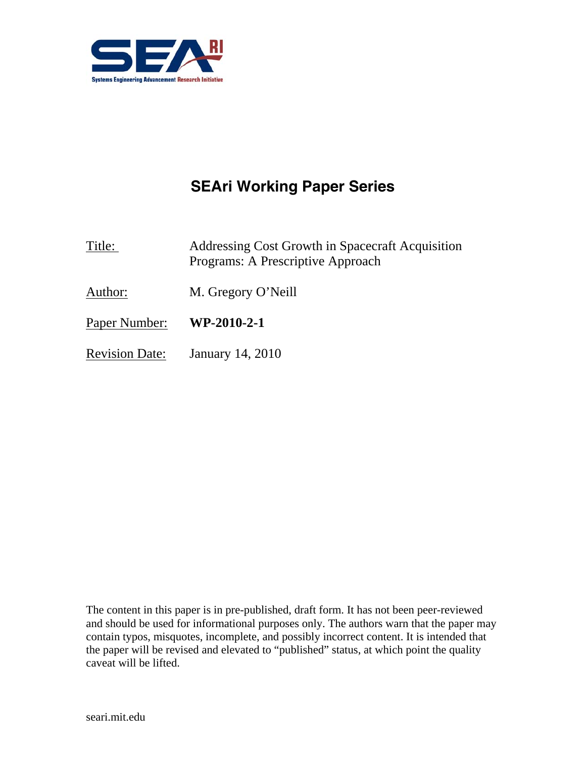

# **SEAri Working Paper Series**

Title: Addressing Cost Growth in Spacecraft Acquisition Programs: A Prescriptive Approach

- Author: M. Gregory O'Neill
- Paper Number: **WP-2010-2-1**
- Revision Date: January 14, 2010

The content in this paper is in pre-published, draft form. It has not been peer-reviewed and should be used for informational purposes only. The authors warn that the paper may contain typos, misquotes, incomplete, and possibly incorrect content. It is intended that the paper will be revised and elevated to "published" status, at which point the quality caveat will be lifted.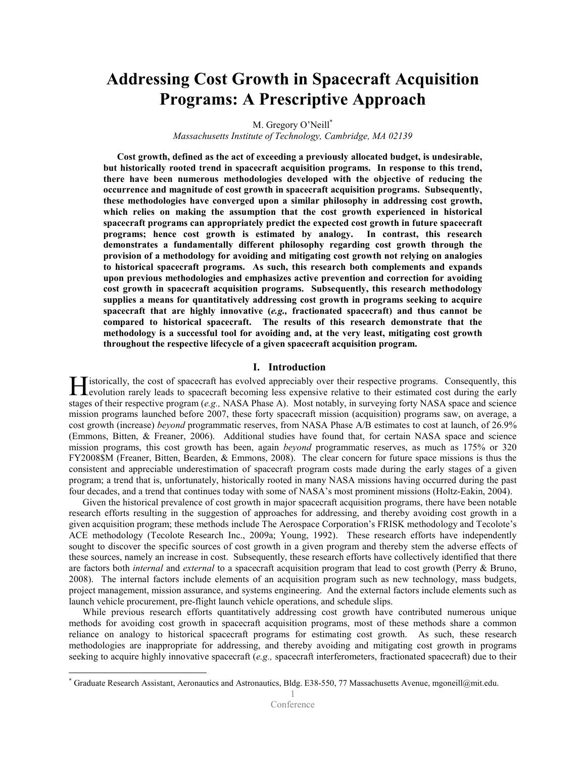# Addressing Cost Growth in Spacecraft Acquisition Programs: A Prescriptive Approach

M. Gregory O'Neill<sup>\*</sup>

Massachusetts Institute of Technology, Cambridge, MA 02139

Cost growth, defined as the act of exceeding a previously allocated budget, is undesirable, but historically rooted trend in spacecraft acquisition programs. In response to this trend, there have been numerous methodologies developed with the objective of reducing the occurrence and magnitude of cost growth in spacecraft acquisition programs. Subsequently, these methodologies have converged upon a similar philosophy in addressing cost growth, which relies on making the assumption that the cost growth experienced in historical spacecraft programs can appropriately predict the expected cost growth in future spacecraft programs; hence cost growth is estimated by analogy. In contrast, this research demonstrates a fundamentally different philosophy regarding cost growth through the provision of a methodology for avoiding and mitigating cost growth not relying on analogies to historical spacecraft programs. As such, this research both complements and expands upon previous methodologies and emphasizes active prevention and correction for avoiding cost growth in spacecraft acquisition programs. Subsequently, this research methodology supplies a means for quantitatively addressing cost growth in programs seeking to acquire spacecraft that are highly innovative  $(e.g.,$  fractionated spacecraft) and thus cannot be compared to historical spacecraft. The results of this research demonstrate that the methodology is a successful tool for avoiding and, at the very least, mitigating cost growth throughout the respective lifecycle of a given spacecraft acquisition program.

#### I. Introduction

 $\Gamma$  istorically, the cost of spacecraft has evolved appreciably over their respective programs. Consequently, this **Exercise** evolution rarely leads to spacecraft has evolved appreciably over their respective programs. Consequently, this evolution rarely leads to spacecraft becoming less expensive relative to their estimated cost durin stages of their respective program (e.g., NASA Phase A). Most notably, in surveying forty NASA space and science mission programs launched before 2007, these forty spacecraft mission (acquisition) programs saw, on average, a cost growth (increase) beyond programmatic reserves, from NASA Phase A/B estimates to cost at launch, of 26.9% (Emmons, Bitten, & Freaner, 2006). Additional studies have found that, for certain NASA space and science mission programs, this cost growth has been, again beyond programmatic reserves, as much as 175% or 320 FY2008\$M (Freaner, Bitten, Bearden, & Emmons, 2008). The clear concern for future space missions is thus the consistent and appreciable underestimation of spacecraft program costs made during the early stages of a given program; a trend that is, unfortunately, historically rooted in many NASA missions having occurred during the past four decades, and a trend that continues today with some of NASA's most prominent missions (Holtz-Eakin, 2004).

 Given the historical prevalence of cost growth in major spacecraft acquisition programs, there have been notable research efforts resulting in the suggestion of approaches for addressing, and thereby avoiding cost growth in a given acquisition program; these methods include The Aerospace Corporation's FRISK methodology and Tecolote's ACE methodology (Tecolote Research Inc., 2009a; Young, 1992). These research efforts have independently sought to discover the specific sources of cost growth in a given program and thereby stem the adverse effects of these sources, namely an increase in cost. Subsequently, these research efforts have collectively identified that there are factors both *internal* and *external* to a spacecraft acquisition program that lead to cost growth (Perry & Bruno, 2008). The internal factors include elements of an acquisition program such as new technology, mass budgets, project management, mission assurance, and systems engineering. And the external factors include elements such as launch vehicle procurement, pre-flight launch vehicle operations, and schedule slips.

 While previous research efforts quantitatively addressing cost growth have contributed numerous unique methods for avoiding cost growth in spacecraft acquisition programs, most of these methods share a common reliance on analogy to historical spacecraft programs for estimating cost growth. As such, these research methodologies are inappropriate for addressing, and thereby avoiding and mitigating cost growth in programs seeking to acquire highly innovative spacecraft (e.g., spacecraft interferometers, fractionated spacecraft) due to their

<u>.</u>

<sup>\*</sup> Graduate Research Assistant, Aeronautics and Astronautics, Bldg. E38-550, 77 Massachusetts Avenue, mgoneill@mit.edu.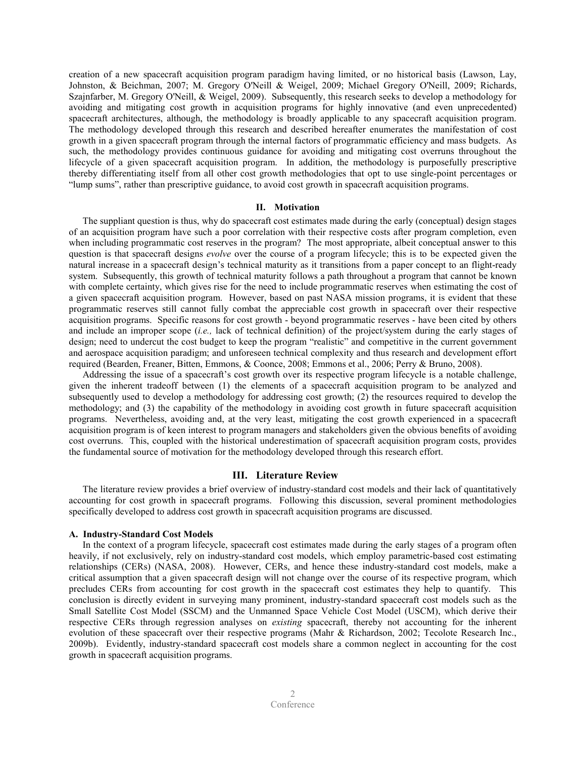creation of a new spacecraft acquisition program paradigm having limited, or no historical basis (Lawson, Lay, Johnston, & Beichman, 2007; M. Gregory O'Neill & Weigel, 2009; Michael Gregory O'Neill, 2009; Richards, Szajnfarber, M. Gregory O'Neill, & Weigel, 2009). Subsequently, this research seeks to develop a methodology for avoiding and mitigating cost growth in acquisition programs for highly innovative (and even unprecedented) spacecraft architectures, although, the methodology is broadly applicable to any spacecraft acquisition program. The methodology developed through this research and described hereafter enumerates the manifestation of cost growth in a given spacecraft program through the internal factors of programmatic efficiency and mass budgets. As such, the methodology provides continuous guidance for avoiding and mitigating cost overruns throughout the lifecycle of a given spacecraft acquisition program. In addition, the methodology is purposefully prescriptive thereby differentiating itself from all other cost growth methodologies that opt to use single-point percentages or "lump sums", rather than prescriptive guidance, to avoid cost growth in spacecraft acquisition programs.

#### II. Motivation

 The suppliant question is thus, why do spacecraft cost estimates made during the early (conceptual) design stages of an acquisition program have such a poor correlation with their respective costs after program completion, even when including programmatic cost reserves in the program? The most appropriate, albeit conceptual answer to this question is that spacecraft designs *evolve* over the course of a program lifecycle; this is to be expected given the natural increase in a spacecraft design's technical maturity as it transitions from a paper concept to an flight-ready system. Subsequently, this growth of technical maturity follows a path throughout a program that cannot be known with complete certainty, which gives rise for the need to include programmatic reserves when estimating the cost of a given spacecraft acquisition program. However, based on past NASA mission programs, it is evident that these programmatic reserves still cannot fully combat the appreciable cost growth in spacecraft over their respective acquisition programs. Specific reasons for cost growth - beyond programmatic reserves - have been cited by others and include an improper scope (*i.e.*, lack of technical definition) of the project/system during the early stages of design; need to undercut the cost budget to keep the program "realistic" and competitive in the current government and aerospace acquisition paradigm; and unforeseen technical complexity and thus research and development effort required (Bearden, Freaner, Bitten, Emmons, & Coonce, 2008; Emmons et al., 2006; Perry & Bruno, 2008).

 Addressing the issue of a spacecraft's cost growth over its respective program lifecycle is a notable challenge, given the inherent tradeoff between (1) the elements of a spacecraft acquisition program to be analyzed and subsequently used to develop a methodology for addressing cost growth; (2) the resources required to develop the methodology; and (3) the capability of the methodology in avoiding cost growth in future spacecraft acquisition programs. Nevertheless, avoiding and, at the very least, mitigating the cost growth experienced in a spacecraft acquisition program is of keen interest to program managers and stakeholders given the obvious benefits of avoiding cost overruns. This, coupled with the historical underestimation of spacecraft acquisition program costs, provides the fundamental source of motivation for the methodology developed through this research effort.

# III. Literature Review

The literature review provides a brief overview of industry-standard cost models and their lack of quantitatively accounting for cost growth in spacecraft programs. Following this discussion, several prominent methodologies specifically developed to address cost growth in spacecraft acquisition programs are discussed.

## A. Industry-Standard Cost Models

 In the context of a program lifecycle, spacecraft cost estimates made during the early stages of a program often heavily, if not exclusively, rely on industry-standard cost models, which employ parametric-based cost estimating relationships (CERs) (NASA, 2008). However, CERs, and hence these industry-standard cost models, make a critical assumption that a given spacecraft design will not change over the course of its respective program, which precludes CERs from accounting for cost growth in the spacecraft cost estimates they help to quantify. This conclusion is directly evident in surveying many prominent, industry-standard spacecraft cost models such as the Small Satellite Cost Model (SSCM) and the Unmanned Space Vehicle Cost Model (USCM), which derive their respective CERs through regression analyses on existing spacecraft, thereby not accounting for the inherent evolution of these spacecraft over their respective programs (Mahr & Richardson, 2002; Tecolote Research Inc., 2009b). Evidently, industry-standard spacecraft cost models share a common neglect in accounting for the cost growth in spacecraft acquisition programs.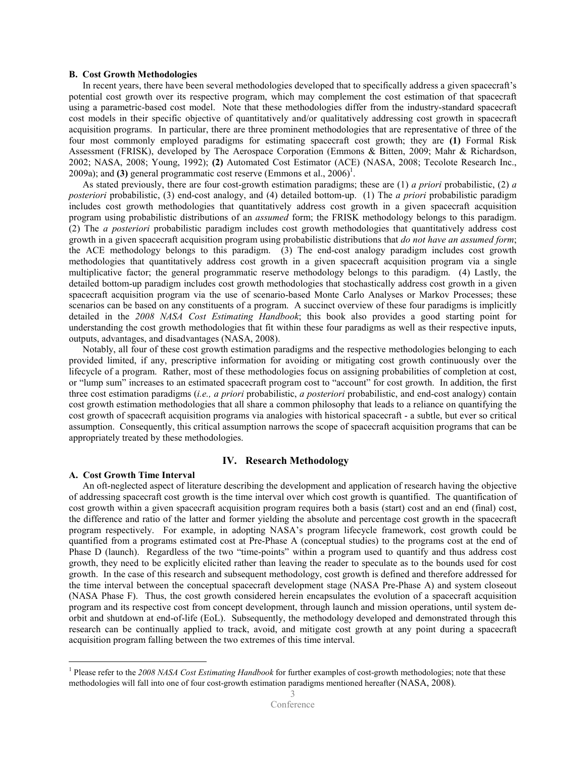## B. Cost Growth Methodologies

 In recent years, there have been several methodologies developed that to specifically address a given spacecraft's potential cost growth over its respective program, which may complement the cost estimation of that spacecraft using a parametric-based cost model. Note that these methodologies differ from the industry-standard spacecraft cost models in their specific objective of quantitatively and/or qualitatively addressing cost growth in spacecraft acquisition programs. In particular, there are three prominent methodologies that are representative of three of the four most commonly employed paradigms for estimating spacecraft cost growth; they are (1) Formal Risk Assessment (FRISK), developed by The Aerospace Corporation (Emmons & Bitten, 2009; Mahr & Richardson, 2002; NASA, 2008; Young, 1992); (2) Automated Cost Estimator (ACE) (NASA, 2008; Tecolote Research Inc., 2009a); and (3) general programmatic cost reserve (Emmons et al.,  $2006$ )<sup>1</sup>.

As stated previously, there are four cost-growth estimation paradigms; these are  $(1)$  *a priori* probabilistic,  $(2)$  *a* posteriori probabilistic, (3) end-cost analogy, and (4) detailed bottom-up. (1) The a priori probabilistic paradigm includes cost growth methodologies that quantitatively address cost growth in a given spacecraft acquisition program using probabilistic distributions of an assumed form; the FRISK methodology belongs to this paradigm. (2) The a posteriori probabilistic paradigm includes cost growth methodologies that quantitatively address cost growth in a given spacecraft acquisition program using probabilistic distributions that *do not have an assumed form*; the ACE methodology belongs to this paradigm. (3) The end-cost analogy paradigm includes cost growth methodologies that quantitatively address cost growth in a given spacecraft acquisition program via a single multiplicative factor; the general programmatic reserve methodology belongs to this paradigm. (4) Lastly, the detailed bottom-up paradigm includes cost growth methodologies that stochastically address cost growth in a given spacecraft acquisition program via the use of scenario-based Monte Carlo Analyses or Markov Processes; these scenarios can be based on any constituents of a program. A succinct overview of these four paradigms is implicitly detailed in the 2008 NASA Cost Estimating Handbook; this book also provides a good starting point for understanding the cost growth methodologies that fit within these four paradigms as well as their respective inputs, outputs, advantages, and disadvantages (NASA, 2008).

 Notably, all four of these cost growth estimation paradigms and the respective methodologies belonging to each provided limited, if any, prescriptive information for avoiding or mitigating cost growth continuously over the lifecycle of a program. Rather, most of these methodologies focus on assigning probabilities of completion at cost, or "lump sum" increases to an estimated spacecraft program cost to "account" for cost growth. In addition, the first three cost estimation paradigms (i.e., a priori probabilistic, a posteriori probabilistic, and end-cost analogy) contain cost growth estimation methodologies that all share a common philosophy that leads to a reliance on quantifying the cost growth of spacecraft acquisition programs via analogies with historical spacecraft - a subtle, but ever so critical assumption. Consequently, this critical assumption narrows the scope of spacecraft acquisition programs that can be appropriately treated by these methodologies.

# IV. Research Methodology

# A. Cost Growth Time Interval

<u>.</u>

 An oft-neglected aspect of literature describing the development and application of research having the objective of addressing spacecraft cost growth is the time interval over which cost growth is quantified. The quantification of cost growth within a given spacecraft acquisition program requires both a basis (start) cost and an end (final) cost, the difference and ratio of the latter and former yielding the absolute and percentage cost growth in the spacecraft program respectively. For example, in adopting NASA's program lifecycle framework, cost growth could be quantified from a programs estimated cost at Pre-Phase A (conceptual studies) to the programs cost at the end of Phase D (launch). Regardless of the two "time-points" within a program used to quantify and thus address cost growth, they need to be explicitly elicited rather than leaving the reader to speculate as to the bounds used for cost growth. In the case of this research and subsequent methodology, cost growth is defined and therefore addressed for the time interval between the conceptual spacecraft development stage (NASA Pre-Phase A) and system closeout (NASA Phase F). Thus, the cost growth considered herein encapsulates the evolution of a spacecraft acquisition program and its respective cost from concept development, through launch and mission operations, until system deorbit and shutdown at end-of-life (EoL). Subsequently, the methodology developed and demonstrated through this research can be continually applied to track, avoid, and mitigate cost growth at any point during a spacecraft acquisition program falling between the two extremes of this time interval.

<sup>&</sup>lt;sup>1</sup> Please refer to the 2008 NASA Cost Estimating Handbook for further examples of cost-growth methodologies; note that these methodologies will fall into one of four cost-growth estimation paradigms mentioned hereafter (NASA, 2008).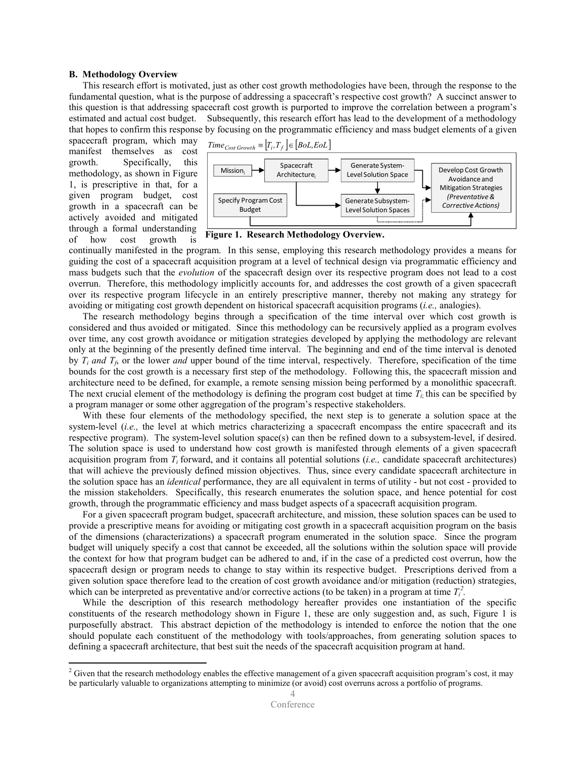## B. Methodology Overview

This research effort is motivated, just as other cost growth methodologies have been, through the response to the fundamental question, what is the purpose of addressing a spacecraft's respective cost growth? A succinct answer to this question is that addressing spacecraft cost growth is purported to improve the correlation between a program's estimated and actual cost budget. Subsequently, this research effort has lead to the development of a methodology that hopes to confirm this response by focusing on the programmatic efficiency and mass budget elements of a given

spacecraft program, which may manifest themselves as cost growth. Specifically, this methodology, as shown in Figure 1, is prescriptive in that, for a given program budget, cost growth in a spacecraft can be actively avoided and mitigated through a formal understanding of how cost growth is

-



Figure 1. Research Methodology Overview.

continually manifested in the program. In this sense, employing this research methodology provides a means for guiding the cost of a spacecraft acquisition program at a level of technical design via programmatic efficiency and mass budgets such that the *evolution* of the spacecraft design over its respective program does not lead to a cost overrun. Therefore, this methodology implicitly accounts for, and addresses the cost growth of a given spacecraft over its respective program lifecycle in an entirely prescriptive manner, thereby not making any strategy for avoiding or mitigating cost growth dependent on historical spacecraft acquisition programs (i.e., analogies).

 The research methodology begins through a specification of the time interval over which cost growth is considered and thus avoided or mitigated. Since this methodology can be recursively applied as a program evolves over time, any cost growth avoidance or mitigation strategies developed by applying the methodology are relevant only at the beginning of the presently defined time interval. The beginning and end of the time interval is denoted by  $T_i$  and  $T_f$ , or the lower and upper bound of the time interval, respectively. Therefore, specification of the time bounds for the cost growth is a necessary first step of the methodology. Following this, the spacecraft mission and architecture need to be defined, for example, a remote sensing mission being performed by a monolithic spacecraft. The next crucial element of the methodology is defining the program cost budget at time  $T_i$  this can be specified by a program manager or some other aggregation of the program's respective stakeholders.

With these four elements of the methodology specified, the next step is to generate a solution space at the system-level (*i.e.*, the level at which metrics characterizing a spacecraft encompass the entire spacecraft and its respective program). The system-level solution space(s) can then be refined down to a subsystem-level, if desired. The solution space is used to understand how cost growth is manifested through elements of a given spacecraft acquisition program from  $T_i$  forward, and it contains all potential solutions (*i.e.*, candidate spacecraft architectures) that will achieve the previously defined mission objectives. Thus, since every candidate spacecraft architecture in the solution space has an identical performance, they are all equivalent in terms of utility - but not cost - provided to the mission stakeholders. Specifically, this research enumerates the solution space, and hence potential for cost growth, through the programmatic efficiency and mass budget aspects of a spacecraft acquisition program.

For a given spacecraft program budget, spacecraft architecture, and mission, these solution spaces can be used to provide a prescriptive means for avoiding or mitigating cost growth in a spacecraft acquisition program on the basis of the dimensions (characterizations) a spacecraft program enumerated in the solution space. Since the program budget will uniquely specify a cost that cannot be exceeded, all the solutions within the solution space will provide the context for how that program budget can be adhered to and, if in the case of a predicted cost overrun, how the spacecraft design or program needs to change to stay within its respective budget. Prescriptions derived from a given solution space therefore lead to the creation of cost growth avoidance and/or mitigation (reduction) strategies, which can be interpreted as preventative and/or corrective actions (to be taken) in a program at time  $T_i^2$ .

 While the description of this research methodology hereafter provides one instantiation of the specific constituents of the research methodology shown in Figure 1, these are only suggestion and, as such, Figure 1 is purposefully abstract. This abstract depiction of the methodology is intended to enforce the notion that the one should populate each constituent of the methodology with tools/approaches, from generating solution spaces to defining a spacecraft architecture, that best suit the needs of the spacecraft acquisition program at hand.

 $2$  Given that the research methodology enables the effective management of a given spacecraft acquisition program's cost, it may be particularly valuable to organizations attempting to minimize (or avoid) cost overruns across a portfolio of programs.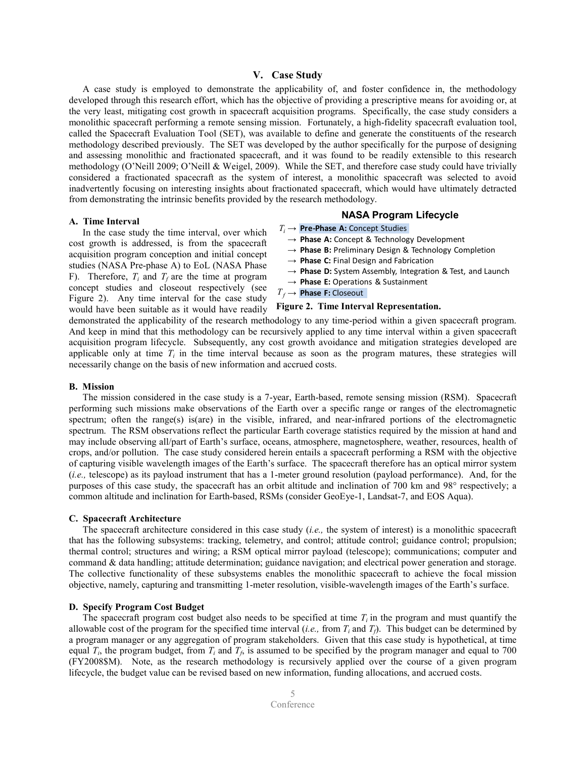# V. Case Study

 A case study is employed to demonstrate the applicability of, and foster confidence in, the methodology developed through this research effort, which has the objective of providing a prescriptive means for avoiding or, at the very least, mitigating cost growth in spacecraft acquisition programs. Specifically, the case study considers a monolithic spacecraft performing a remote sensing mission. Fortunately, a high-fidelity spacecraft evaluation tool, called the Spacecraft Evaluation Tool (SET), was available to define and generate the constituents of the research methodology described previously. The SET was developed by the author specifically for the purpose of designing and assessing monolithic and fractionated spacecraft, and it was found to be readily extensible to this research methodology (O'Neill 2009; O'Neill & Weigel, 2009). While the SET, and therefore case study could have trivially considered a fractionated spacecraft as the system of interest, a monolithic spacecraft was selected to avoid inadvertently focusing on interesting insights about fractionated spacecraft, which would have ultimately detracted from demonstrating the intrinsic benefits provided by the research methodology.

#### A. Time Interval

 In the case study the time interval, over which cost growth is addressed, is from the spacecraft acquisition program conception and initial concept studies (NASA Pre-phase A) to EoL (NASA Phase F). Therefore,  $T_i$  and  $T_f$  are the time at program concept studies and closeout respectively (see Figure 2). Any time interval for the case study would have been suitable as it would have readily

# NASA Program Lifecycle

- $T_i \rightarrow \text{Pre-Phase A: Concept Studies}$ 
	- $\rightarrow$  Phase A: Concept & Technology Development
	- $\rightarrow$  Phase B: Preliminary Design & Technology Completion
- $\rightarrow$  Phase C: Final Design and Fabrication
- $\rightarrow$  Phase D: System Assembly, Integration & Test, and Launch
- $\rightarrow$  Phase E: Operations & Sustainment
- $T_f \rightarrow \textbf{Phase F: Closeout}$

# Figure 2. Time Interval Representation.

demonstrated the applicability of the research methodology to any time-period within a given spacecraft program. And keep in mind that this methodology can be recursively applied to any time interval within a given spacecraft acquisition program lifecycle. Subsequently, any cost growth avoidance and mitigation strategies developed are applicable only at time  $T_i$  in the time interval because as soon as the program matures, these strategies will necessarily change on the basis of new information and accrued costs.

#### B. Mission

 The mission considered in the case study is a 7-year, Earth-based, remote sensing mission (RSM). Spacecraft performing such missions make observations of the Earth over a specific range or ranges of the electromagnetic spectrum; often the range(s) is(are) in the visible, infrared, and near-infrared portions of the electromagnetic spectrum. The RSM observations reflect the particular Earth coverage statistics required by the mission at hand and may include observing all/part of Earth's surface, oceans, atmosphere, magnetosphere, weather, resources, health of crops, and/or pollution. The case study considered herein entails a spacecraft performing a RSM with the objective of capturing visible wavelength images of the Earth's surface. The spacecraft therefore has an optical mirror system (i.e., telescope) as its payload instrument that has a 1-meter ground resolution (payload performance). And, for the purposes of this case study, the spacecraft has an orbit altitude and inclination of 700 km and 98° respectively; a common altitude and inclination for Earth-based, RSMs (consider GeoEye-1, Landsat-7, and EOS Aqua).

# C. Spacecraft Architecture

The spacecraft architecture considered in this case study (i.e., the system of interest) is a monolithic spacecraft that has the following subsystems: tracking, telemetry, and control; attitude control; guidance control; propulsion; thermal control; structures and wiring; a RSM optical mirror payload (telescope); communications; computer and command & data handling; attitude determination; guidance navigation; and electrical power generation and storage. The collective functionality of these subsystems enables the monolithic spacecraft to achieve the focal mission objective, namely, capturing and transmitting 1-meter resolution, visible-wavelength images of the Earth's surface.

#### D. Specify Program Cost Budget

The spacecraft program cost budget also needs to be specified at time  $T_i$  in the program and must quantify the allowable cost of the program for the specified time interval (*i.e.*, from  $T_i$  and  $T_j$ ). This budget can be determined by a program manager or any aggregation of program stakeholders. Given that this case study is hypothetical, at time equal  $T_i$ , the program budget, from  $T_i$  and  $T_f$ , is assumed to be specified by the program manager and equal to 700 (FY2008\$M). Note, as the research methodology is recursively applied over the course of a given program lifecycle, the budget value can be revised based on new information, funding allocations, and accrued costs.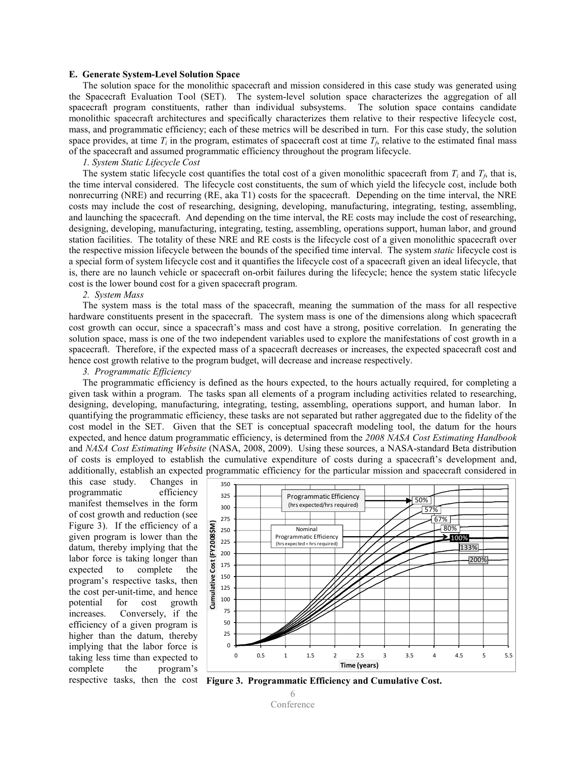#### E. Generate System-Level Solution Space

 The solution space for the monolithic spacecraft and mission considered in this case study was generated using the Spacecraft Evaluation Tool (SET). The system-level solution space characterizes the aggregation of all spacecraft program constituents, rather than individual subsystems. The solution space contains candidate monolithic spacecraft architectures and specifically characterizes them relative to their respective lifecycle cost, mass, and programmatic efficiency; each of these metrics will be described in turn. For this case study, the solution space provides, at time  $T_i$  in the program, estimates of spacecraft cost at time  $T_f$ , relative to the estimated final mass of the spacecraft and assumed programmatic efficiency throughout the program lifecycle.

# 1. System Static Lifecycle Cost

The system static lifecycle cost quantifies the total cost of a given monolithic spacecraft from  $T_i$  and  $T_f$ , that is, the time interval considered. The lifecycle cost constituents, the sum of which yield the lifecycle cost, include both nonrecurring (NRE) and recurring (RE, aka T1) costs for the spacecraft. Depending on the time interval, the NRE costs may include the cost of researching, designing, developing, manufacturing, integrating, testing, assembling, and launching the spacecraft. And depending on the time interval, the RE costs may include the cost of researching, designing, developing, manufacturing, integrating, testing, assembling, operations support, human labor, and ground station facilities. The totality of these NRE and RE costs is the lifecycle cost of a given monolithic spacecraft over the respective mission lifecycle between the bounds of the specified time interval. The system *static* lifecycle cost is a special form of system lifecycle cost and it quantifies the lifecycle cost of a spacecraft given an ideal lifecycle, that is, there are no launch vehicle or spacecraft on-orbit failures during the lifecycle; hence the system static lifecycle cost is the lower bound cost for a given spacecraft program.

#### 2. System Mass

 The system mass is the total mass of the spacecraft, meaning the summation of the mass for all respective hardware constituents present in the spacecraft. The system mass is one of the dimensions along which spacecraft cost growth can occur, since a spacecraft's mass and cost have a strong, positive correlation. In generating the solution space, mass is one of the two independent variables used to explore the manifestations of cost growth in a spacecraft. Therefore, if the expected mass of a spacecraft decreases or increases, the expected spacecraft cost and hence cost growth relative to the program budget, will decrease and increase respectively.

#### 3. Programmatic Efficiency

 The programmatic efficiency is defined as the hours expected, to the hours actually required, for completing a given task within a program. The tasks span all elements of a program including activities related to researching, designing, developing, manufacturing, integrating, testing, assembling, operations support, and human labor. In quantifying the programmatic efficiency, these tasks are not separated but rather aggregated due to the fidelity of the cost model in the SET. Given that the SET is conceptual spacecraft modeling tool, the datum for the hours expected, and hence datum programmatic efficiency, is determined from the 2008 NASA Cost Estimating Handbook and NASA Cost Estimating Website (NASA, 2008, 2009). Using these sources, a NASA-standard Beta distribution of costs is employed to establish the cumulative expenditure of costs during a spacecraft's development and, additionally, establish an expected programmatic efficiency for the particular mission and spacecraft considered in

this case study. Changes in programmatic efficiency manifest themselves in the form of cost growth and reduction (see Figure 3). If the efficiency of a given program is lower than the datum, thereby implying that the labor force is taking longer than expected to complete the program's respective tasks, then the cost per-unit-time, and hence potential for cost growth increases. Conversely, if the efficiency of a given program is higher than the datum, thereby implying that the labor force is taking less time than expected to complete the program's



respective tasks, then the cost Figure 3. Programmatic Efficiency and Cumulative Cost.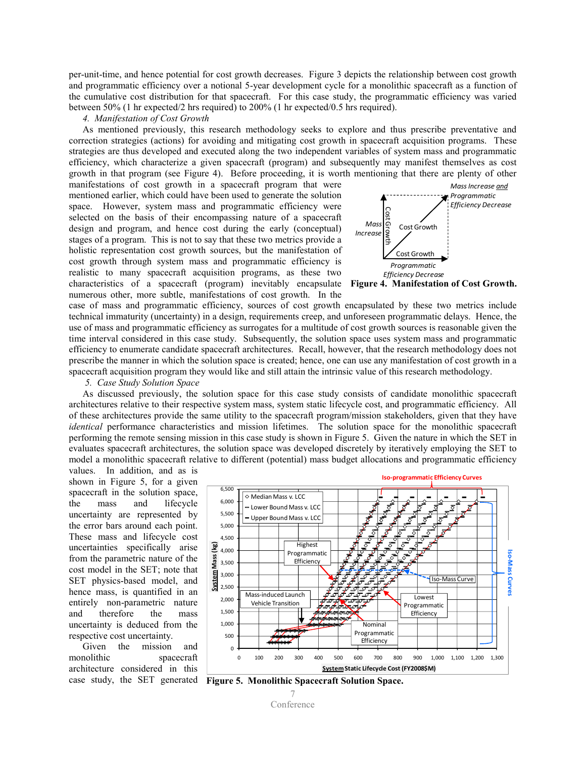per-unit-time, and hence potential for cost growth decreases. Figure 3 depicts the relationship between cost growth and programmatic efficiency over a notional 5-year development cycle for a monolithic spacecraft as a function of the cumulative cost distribution for that spacecraft. For this case study, the programmatic efficiency was varied between 50% (1 hr expected/2 hrs required) to 200% (1 hr expected/0.5 hrs required).

## 4. Manifestation of Cost Growth

 As mentioned previously, this research methodology seeks to explore and thus prescribe preventative and correction strategies (actions) for avoiding and mitigating cost growth in spacecraft acquisition programs. These strategies are thus developed and executed along the two independent variables of system mass and programmatic efficiency, which characterize a given spacecraft (program) and subsequently may manifest themselves as cost growth in that program (see Figure 4). Before proceeding, it is worth mentioning that there are plenty of other

manifestations of cost growth in a spacecraft program that were mentioned earlier, which could have been used to generate the solution space. However, system mass and programmatic efficiency were selected on the basis of their encompassing nature of a spacecraft design and program, and hence cost during the early (conceptual) stages of a program. This is not to say that these two metrics provide a holistic representation cost growth sources, but the manifestation of cost growth through system mass and programmatic efficiency is realistic to many spacecraft acquisition programs, as these two characteristics of a spacecraft (program) inevitably encapsulate numerous other, more subtle, manifestations of cost growth. In the



case of mass and programmatic efficiency, sources of cost growth encapsulated by these two metrics include technical immaturity (uncertainty) in a design, requirements creep, and unforeseen programmatic delays. Hence, the use of mass and programmatic efficiency as surrogates for a multitude of cost growth sources is reasonable given the time interval considered in this case study. Subsequently, the solution space uses system mass and programmatic efficiency to enumerate candidate spacecraft architectures. Recall, however, that the research methodology does not prescribe the manner in which the solution space is created; hence, one can use any manifestation of cost growth in a spacecraft acquisition program they would like and still attain the intrinsic value of this research methodology.

#### 5. Case Study Solution Space

 As discussed previously, the solution space for this case study consists of candidate monolithic spacecraft architectures relative to their respective system mass, system static lifecycle cost, and programmatic efficiency. All of these architectures provide the same utility to the spacecraft program/mission stakeholders, given that they have identical performance characteristics and mission lifetimes. The solution space for the monolithic spacecraft performing the remote sensing mission in this case study is shown in Figure 5. Given the nature in which the SET in evaluates spacecraft architectures, the solution space was developed discretely by iteratively employing the SET to model a monolithic spacecraft relative to different (potential) mass budget allocations and programmatic efficiency

values. In addition, and as is shown in Figure 5, for a given spacecraft in the solution space, the mass and lifecycle uncertainty are represented by the error bars around each point. These mass and lifecycle cost uncertainties specifically arise from the parametric nature of the cost model in the SET; note that SET physics-based model, and hence mass, is quantified in an entirely non-parametric nature and therefore the mass uncertainty is deduced from the respective cost uncertainty.

 Given the mission and monolithic spacecraft architecture considered in this



case study, the SET generated Figure 5. Monolithic Spacecraft Solution Space.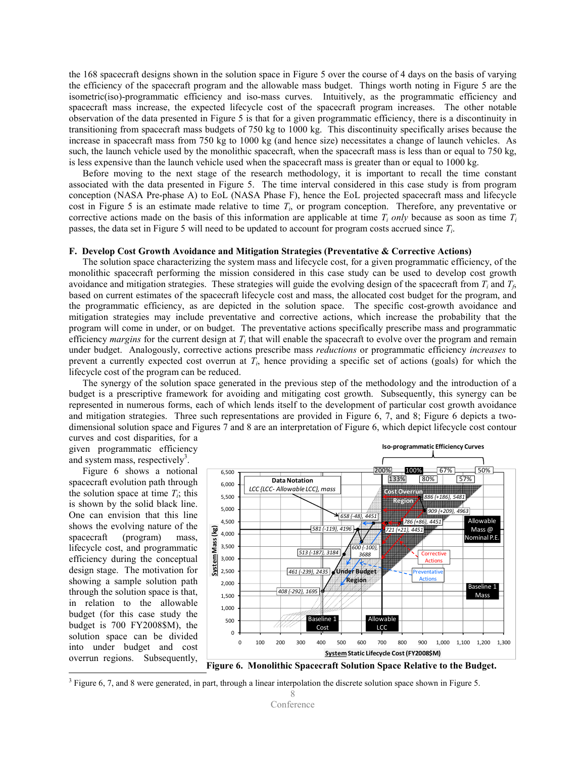the 168 spacecraft designs shown in the solution space in Figure 5 over the course of 4 days on the basis of varying the efficiency of the spacecraft program and the allowable mass budget. Things worth noting in Figure 5 are the isometric(iso)-programmatic efficiency and iso-mass curves. Intuitively, as the programmatic efficiency and spacecraft mass increase, the expected lifecycle cost of the spacecraft program increases. The other notable observation of the data presented in Figure 5 is that for a given programmatic efficiency, there is a discontinuity in transitioning from spacecraft mass budgets of 750 kg to 1000 kg. This discontinuity specifically arises because the increase in spacecraft mass from 750 kg to 1000 kg (and hence size) necessitates a change of launch vehicles. As such, the launch vehicle used by the monolithic spacecraft, when the spacecraft mass is less than or equal to 750 kg, is less expensive than the launch vehicle used when the spacecraft mass is greater than or equal to 1000 kg.

 Before moving to the next stage of the research methodology, it is important to recall the time constant associated with the data presented in Figure 5. The time interval considered in this case study is from program conception (NASA Pre-phase A) to EoL (NASA Phase F), hence the EoL projected spacecraft mass and lifecycle cost in Figure 5 is an estimate made relative to time  $T<sub>i</sub>$ , or program conception. Therefore, any preventative or corrective actions made on the basis of this information are applicable at time  $T_i$  only because as soon as time  $T_i$ passes, the data set in Figure 5 will need to be updated to account for program costs accrued since  $T_i$ .

#### F. Develop Cost Growth Avoidance and Mitigation Strategies (Preventative & Corrective Actions)

 The solution space characterizing the system mass and lifecycle cost, for a given programmatic efficiency, of the monolithic spacecraft performing the mission considered in this case study can be used to develop cost growth avoidance and mitigation strategies. These strategies will guide the evolving design of the spacecraft from  $T_i$  and  $T_f$ , based on current estimates of the spacecraft lifecycle cost and mass, the allocated cost budget for the program, and the programmatic efficiency, as are depicted in the solution space. The specific cost-growth avoidance and mitigation strategies may include preventative and corrective actions, which increase the probability that the program will come in under, or on budget. The preventative actions specifically prescribe mass and programmatic efficiency *margins* for the current design at  $T_i$  that will enable the spacecraft to evolve over the program and remain under budget. Analogously, corrective actions prescribe mass *reductions* or programmatic efficiency *increases* to prevent a currently expected cost overrun at  $T<sub>i</sub>$ , hence providing a specific set of actions (goals) for which the lifecycle cost of the program can be reduced.

 The synergy of the solution space generated in the previous step of the methodology and the introduction of a budget is a prescriptive framework for avoiding and mitigating cost growth. Subsequently, this synergy can be represented in numerous forms, each of which lends itself to the development of particular cost growth avoidance and mitigation strategies. Three such representations are provided in Figure 6, 7, and 8; Figure 6 depicts a twodimensional solution space and Figures 7 and 8 are an interpretation of Figure 6, which depict lifecycle cost contour curves and cost disparities, for a

given programmatic efficiency and system mass, respectively<sup>3</sup>.

 Figure 6 shows a notional spacecraft evolution path through the solution space at time  $T_i$ ; this is shown by the solid black line. One can envision that this line shows the evolving nature of the spacecraft (program) mass, lifecycle cost, and programmatic efficiency during the conceptual design stage. The motivation for showing a sample solution path through the solution space is that, in relation to the allowable budget (for this case study the budget is 700 FY2008\$M), the solution space can be divided into under budget and cost overrun regions. Subsequently,

<u>.</u>



Figure 6. Monolithic Spacecraft Solution Space Relative to the Budget.

 $3$  Figure 6, 7, and 8 were generated, in part, through a linear interpolation the discrete solution space shown in Figure 5.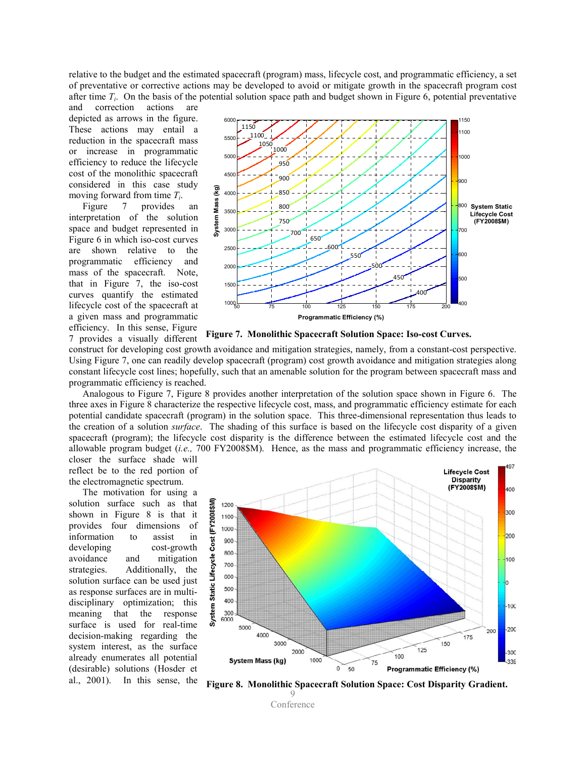relative to the budget and the estimated spacecraft (program) mass, lifecycle cost, and programmatic efficiency, a set of preventative or corrective actions may be developed to avoid or mitigate growth in the spacecraft program cost after time  $T_i$ . On the basis of the potential solution space path and budget shown in Figure 6, potential preventative

and correction actions are depicted as arrows in the figure. These actions may entail a reduction in the spacecraft mass or increase in programmatic efficiency to reduce the lifecycle cost of the monolithic spacecraft considered in this case study moving forward from time  $T_i$ .

 Figure 7 provides an interpretation of the solution space and budget represented in Figure 6 in which iso-cost curves are shown relative to the programmatic efficiency and mass of the spacecraft. Note, that in Figure 7, the iso-cost curves quantify the estimated lifecycle cost of the spacecraft at a given mass and programmatic efficiency. In this sense, Figure 7 provides a visually different



Figure 7. Monolithic Spacecraft Solution Space: Iso-cost Curves.

construct for developing cost growth avoidance and mitigation strategies, namely, from a constant-cost perspective. Using Figure 7, one can readily develop spacecraft (program) cost growth avoidance and mitigation strategies along constant lifecycle cost lines; hopefully, such that an amenable solution for the program between spacecraft mass and programmatic efficiency is reached.

Analogous to Figure 7, Figure 8 provides another interpretation of the solution space shown in Figure 6. The three axes in Figure 8 characterize the respective lifecycle cost, mass, and programmatic efficiency estimate for each potential candidate spacecraft (program) in the solution space. This three-dimensional representation thus leads to the creation of a solution surface. The shading of this surface is based on the lifecycle cost disparity of a given spacecraft (program); the lifecycle cost disparity is the difference between the estimated lifecycle cost and the allowable program budget (*i.e.*, 700 FY2008\$M). Hence, as the mass and programmatic efficiency increase, the

closer the surface shade will reflect be to the red portion of the electromagnetic spectrum.

 The motivation for using a solution surface such as that shown in Figure 8 is that it provides four dimensions of information to assist in developing cost-growth avoidance and mitigation strategies. Additionally, the solution surface can be used just as response surfaces are in multidisciplinary optimization; this meaning that the response surface is used for real-time decision-making regarding the system interest, as the surface already enumerates all potential (desirable) solutions (Hosder et



9 al., 2001). In this sense, the Figure 8. Monolithic Spacecraft Solution Space: Cost Disparity Gradient.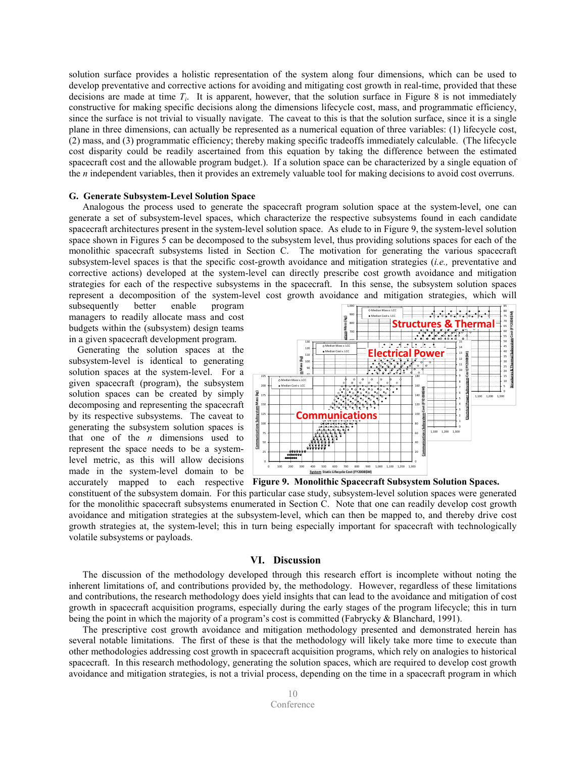solution surface provides a holistic representation of the system along four dimensions, which can be used to develop preventative and corrective actions for avoiding and mitigating cost growth in real-time, provided that these decisions are made at time  $T_i$ . It is apparent, however, that the solution surface in Figure 8 is not immediately constructive for making specific decisions along the dimensions lifecycle cost, mass, and programmatic efficiency, since the surface is not trivial to visually navigate. The caveat to this is that the solution surface, since it is a single plane in three dimensions, can actually be represented as a numerical equation of three variables: (1) lifecycle cost, (2) mass, and (3) programmatic efficiency; thereby making specific tradeoffs immediately calculable. (The lifecycle cost disparity could be readily ascertained from this equation by taking the difference between the estimated spacecraft cost and the allowable program budget.). If a solution space can be characterized by a single equation of the n independent variables, then it provides an extremely valuable tool for making decisions to avoid cost overruns.

## G. Generate Subsystem-Level Solution Space

 Analogous the process used to generate the spacecraft program solution space at the system-level, one can generate a set of subsystem-level spaces, which characterize the respective subsystems found in each candidate spacecraft architectures present in the system-level solution space. As elude to in Figure 9, the system-level solution space shown in Figures 5 can be decomposed to the subsystem level, thus providing solutions spaces for each of the monolithic spacecraft subsystems listed in Section C. The motivation for generating the various spacecraft subsystem-level spaces is that the specific cost-growth avoidance and mitigation strategies (i.e., preventative and corrective actions) developed at the system-level can directly prescribe cost growth avoidance and mitigation strategies for each of the respective subsystems in the spacecraft. In this sense, the subsystem solution spaces represent a decomposition of the system-level cost growth avoidance and mitigation strategies, which will

subsequently better enable program managers to readily allocate mass and cost budgets within the (subsystem) design teams in a given spacecraft development program.

Generating the solution spaces at the subsystem-level is identical to generating solution spaces at the system-level. For a given spacecraft (program), the subsystem solution spaces can be created by simply decomposing and representing the spacecraft by its respective subsystems. The caveat to generating the subsystem solution spaces is that one of the  $n$  dimensions used to represent the space needs to be a systemlevel metric, as this will allow decisions made in the system-level domain to be



accurately mapped to each respective Figure 9. Monolithic Spacecraft Subsystem Solution Spaces.

constituent of the subsystem domain. For this particular case study, subsystem-level solution spaces were generated for the monolithic spacecraft subsystems enumerated in Section C. Note that one can readily develop cost growth avoidance and mitigation strategies at the subsystem-level, which can then be mapped to, and thereby drive cost growth strategies at, the system-level; this in turn being especially important for spacecraft with technologically volatile subsystems or payloads.

# VI. Discussion

 The discussion of the methodology developed through this research effort is incomplete without noting the inherent limitations of, and contributions provided by, the methodology. However, regardless of these limitations and contributions, the research methodology does yield insights that can lead to the avoidance and mitigation of cost growth in spacecraft acquisition programs, especially during the early stages of the program lifecycle; this in turn being the point in which the majority of a program's cost is committed (Fabrycky & Blanchard, 1991).

 The prescriptive cost growth avoidance and mitigation methodology presented and demonstrated herein has several notable limitations. The first of these is that the methodology will likely take more time to execute than other methodologies addressing cost growth in spacecraft acquisition programs, which rely on analogies to historical spacecraft. In this research methodology, generating the solution spaces, which are required to develop cost growth avoidance and mitigation strategies, is not a trivial process, depending on the time in a spacecraft program in which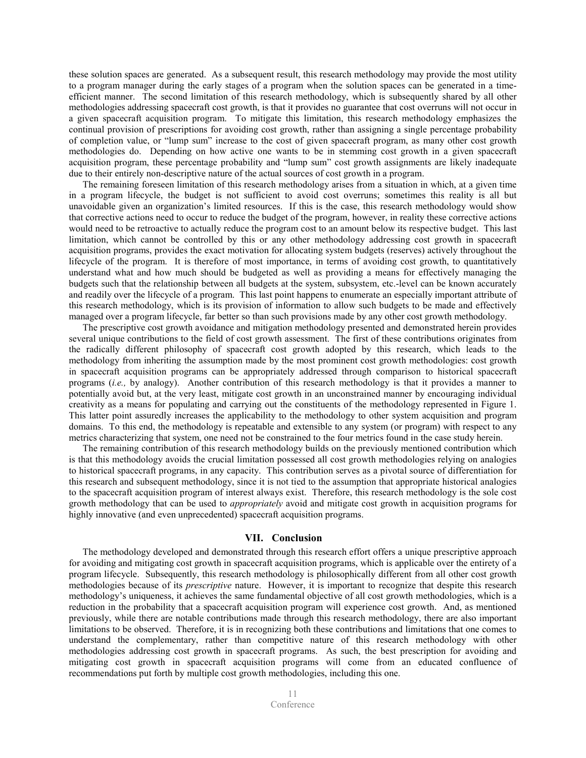these solution spaces are generated. As a subsequent result, this research methodology may provide the most utility to a program manager during the early stages of a program when the solution spaces can be generated in a timeefficient manner. The second limitation of this research methodology, which is subsequently shared by all other methodologies addressing spacecraft cost growth, is that it provides no guarantee that cost overruns will not occur in a given spacecraft acquisition program. To mitigate this limitation, this research methodology emphasizes the continual provision of prescriptions for avoiding cost growth, rather than assigning a single percentage probability of completion value, or "lump sum" increase to the cost of given spacecraft program, as many other cost growth methodologies do. Depending on how active one wants to be in stemming cost growth in a given spacecraft acquisition program, these percentage probability and "lump sum" cost growth assignments are likely inadequate due to their entirely non-descriptive nature of the actual sources of cost growth in a program.

 The remaining foreseen limitation of this research methodology arises from a situation in which, at a given time in a program lifecycle, the budget is not sufficient to avoid cost overruns; sometimes this reality is all but unavoidable given an organization's limited resources. If this is the case, this research methodology would show that corrective actions need to occur to reduce the budget of the program, however, in reality these corrective actions would need to be retroactive to actually reduce the program cost to an amount below its respective budget. This last limitation, which cannot be controlled by this or any other methodology addressing cost growth in spacecraft acquisition programs, provides the exact motivation for allocating system budgets (reserves) actively throughout the lifecycle of the program. It is therefore of most importance, in terms of avoiding cost growth, to quantitatively understand what and how much should be budgeted as well as providing a means for effectively managing the budgets such that the relationship between all budgets at the system, subsystem, etc.-level can be known accurately and readily over the lifecycle of a program. This last point happens to enumerate an especially important attribute of this research methodology, which is its provision of information to allow such budgets to be made and effectively managed over a program lifecycle, far better so than such provisions made by any other cost growth methodology.

The prescriptive cost growth avoidance and mitigation methodology presented and demonstrated herein provides several unique contributions to the field of cost growth assessment. The first of these contributions originates from the radically different philosophy of spacecraft cost growth adopted by this research, which leads to the methodology from inheriting the assumption made by the most prominent cost growth methodologies: cost growth in spacecraft acquisition programs can be appropriately addressed through comparison to historical spacecraft programs (i.e., by analogy). Another contribution of this research methodology is that it provides a manner to potentially avoid but, at the very least, mitigate cost growth in an unconstrained manner by encouraging individual creativity as a means for populating and carrying out the constituents of the methodology represented in Figure 1. This latter point assuredly increases the applicability to the methodology to other system acquisition and program domains. To this end, the methodology is repeatable and extensible to any system (or program) with respect to any metrics characterizing that system, one need not be constrained to the four metrics found in the case study herein.

The remaining contribution of this research methodology builds on the previously mentioned contribution which is that this methodology avoids the crucial limitation possessed all cost growth methodologies relying on analogies to historical spacecraft programs, in any capacity. This contribution serves as a pivotal source of differentiation for this research and subsequent methodology, since it is not tied to the assumption that appropriate historical analogies to the spacecraft acquisition program of interest always exist. Therefore, this research methodology is the sole cost growth methodology that can be used to appropriately avoid and mitigate cost growth in acquisition programs for highly innovative (and even unprecedented) spacecraft acquisition programs.

# VII. Conclusion

The methodology developed and demonstrated through this research effort offers a unique prescriptive approach for avoiding and mitigating cost growth in spacecraft acquisition programs, which is applicable over the entirety of a program lifecycle. Subsequently, this research methodology is philosophically different from all other cost growth methodologies because of its *prescriptive* nature. However, it is important to recognize that despite this research methodology's uniqueness, it achieves the same fundamental objective of all cost growth methodologies, which is a reduction in the probability that a spacecraft acquisition program will experience cost growth. And, as mentioned previously, while there are notable contributions made through this research methodology, there are also important limitations to be observed. Therefore, it is in recognizing both these contributions and limitations that one comes to understand the complementary, rather than competitive nature of this research methodology with other methodologies addressing cost growth in spacecraft programs. As such, the best prescription for avoiding and mitigating cost growth in spacecraft acquisition programs will come from an educated confluence of recommendations put forth by multiple cost growth methodologies, including this one.